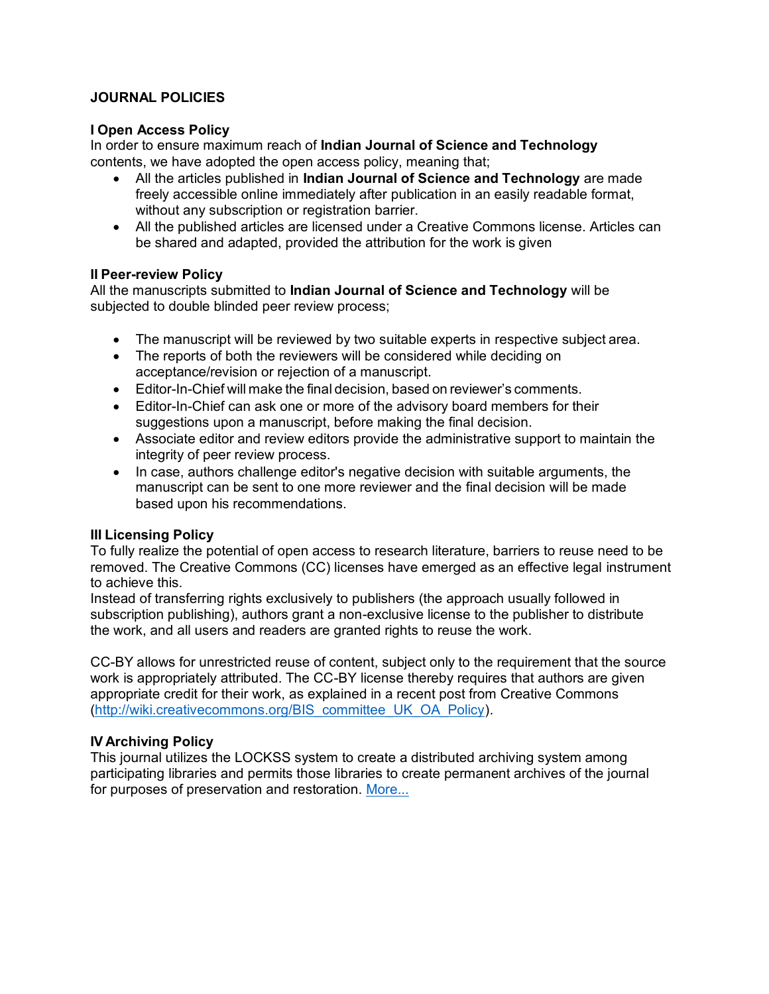### **JOURNAL POLICIES**

#### **I Open Access Policy**

In order to ensure maximum reach of **Indian Journal of Science and Technology**  contents, we have adopted the open access policy, meaning that;

- All the articles published in **Indian Journal of Science and Technology** are made freely accessible online immediately after publication in an easily readable format, without any subscription or registration barrier.
- All the published articles are licensed under a Creative Commons license. Articles can be shared and adapted, provided the attribution for the work is given

#### **II Peer-review Policy**

All the manuscripts submitted to **Indian Journal of Science and Technology** will be subjected to double blinded peer review process;

- The manuscript will be reviewed by two suitable experts in respective subject area.
- The reports of both the reviewers will be considered while deciding on acceptance/revision or rejection of a manuscript.
- Editor-In-Chief will make the final decision, based on reviewer's comments.
- Editor-In-Chief can ask one or more of the advisory board members for their suggestions upon a manuscript, before making the final decision.
- Associate editor and review editors provide the administrative support to maintain the integrity of peer review process.
- In case, authors challenge editor's negative decision with suitable arguments, the manuscript can be sent to one more reviewer and the final decision will be made based upon his recommendations.

### **III Licensing Policy**

To fully realize the potential of open access to research literature, barriers to reuse need to be removed. The Creative Commons (CC) licenses have emerged as an effective legal instrument to achieve this.

Instead of transferring rights exclusively to publishers (the approach usually followed in subscription publishing), authors grant a non-exclusive license to the publisher to distribute the work, and all users and readers are granted rights to reuse the work.

CC-BY allows for unrestricted reuse of content, subject only to the requirement that the source work is appropriately attributed. The CC-BY license thereby requires that authors are given appropriate credit for their work, as explained in a recent post from Creative Commons (http://wiki.creativecommons.org/BIS committee UK OA Policy).

### **IV Archiving Policy**

This journal utilizes the LOCKSS system to create a distributed archiving system among participating libraries and permits those libraries to create permanent archives of the journal for purposes of preservation and restoration. [More...](https://www.lockss.org/)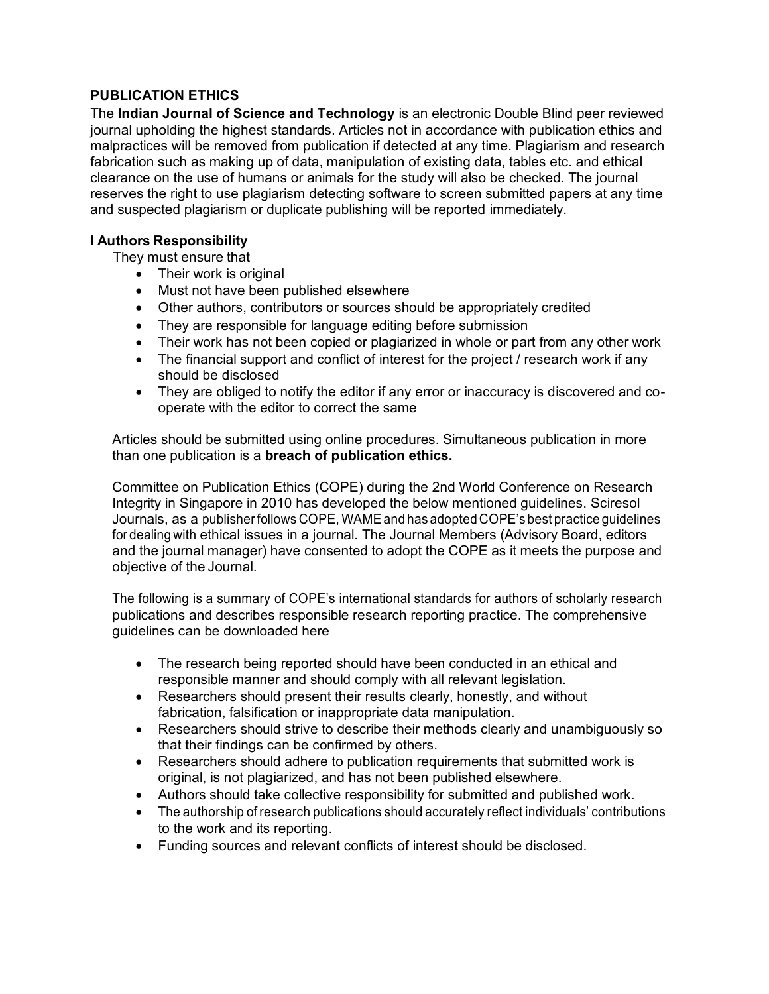# **PUBLICATION ETHICS**

The **Indian Journal of Science and Technology** is an electronic Double Blind peer reviewed journal upholding the highest standards. Articles not in accordance with publication ethics and malpractices will be removed from publication if detected at any time. Plagiarism and research fabrication such as making up of data, manipulation of existing data, tables etc. and ethical clearance on the use of humans or animals for the study will also be checked. The journal reserves the right to use plagiarism detecting software to screen submitted papers at any time and suspected plagiarism or duplicate publishing will be reported immediately.

### **I Authors Responsibility**

They must ensure that

- Their work is original
- Must not have been published elsewhere
- Other authors, contributors or sources should be appropriately credited
- They are responsible for language editing before submission
- Their work has not been copied or plagiarized in whole or part from any other work
- The financial support and conflict of interest for the project / research work if any should be disclosed
- They are obliged to notify the editor if any error or inaccuracy is discovered and cooperate with the editor to correct the same

Articles should be submitted using online procedures. Simultaneous publication in more than one publication is a **breach of publication ethics.**

Committee on Publication Ethics (COPE) during the 2nd World Conference on Research Integrity in Singapore in 2010 has developed the below mentioned guidelines. Sciresol Journals, as a publisherfollows COPE, WAMEand has adopted COPE's best practice guidelines for dealing with ethical issues in a journal. The Journal Members (Advisory Board, editors and the journal manager) have consented to adopt the COPE as it meets the purpose and objective of the Journal.

The following is a summary of COPE's international standards for authors of scholarly research publications and describes responsible research reporting practice. The comprehensive guidelines can be downloaded here

- The research being reported should have been conducted in an ethical and responsible manner and should comply with all relevant legislation.
- Researchers should present their results clearly, honestly, and without fabrication, falsification or inappropriate data manipulation.
- Researchers should strive to describe their methods clearly and unambiguously so that their findings can be confirmed by others.
- Researchers should adhere to publication requirements that submitted work is original, is not plagiarized, and has not been published elsewhere.
- Authors should take collective responsibility for submitted and published work.
- The authorship of research publications should accurately reflect individuals' contributions to the work and its reporting.
- Funding sources and relevant conflicts of interest should be disclosed.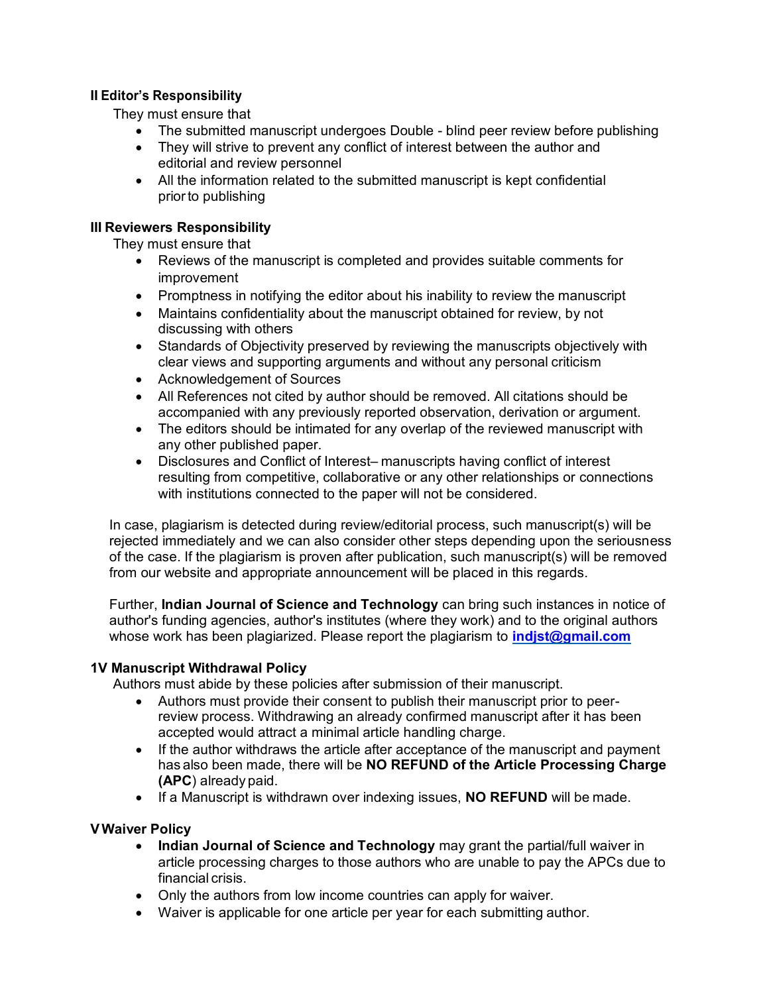# **II Editor's Responsibility**

They must ensure that

- The submitted manuscript undergoes Double blind peer review before publishing
- They will strive to prevent any conflict of interest between the author and editorial and review personnel
- All the information related to the submitted manuscript is kept confidential priorto publishing

## **III Reviewers Responsibility**

They must ensure that

- Reviews of the manuscript is completed and provides suitable comments for improvement
- Promptness in notifying the editor about his inability to review the manuscript
- Maintains confidentiality about the manuscript obtained for review, by not discussing with others
- Standards of Objectivity preserved by reviewing the manuscripts objectively with clear views and supporting arguments and without any personal criticism
- Acknowledgement of Sources
- All References not cited by author should be removed. All citations should be accompanied with any previously reported observation, derivation or argument.
- The editors should be intimated for any overlap of the reviewed manuscript with any other published paper.
- Disclosures and Conflict of Interest– manuscripts having conflict of interest resulting from competitive, collaborative or any other relationships or connections with institutions connected to the paper will not be considered.

In case, plagiarism is detected during review/editorial process, such manuscript(s) will be rejected immediately and we can also consider other steps depending upon the seriousness of the case. If the plagiarism is proven after publication, such manuscript(s) will be removed from our website and appropriate announcement will be placed in this regards.

Further, **Indian Journal of Science and Technology** can bring such instances in notice of author's funding agencies, author's institutes (where they work) and to the original authors whose work has been plagiarized. Please report the plagiarism to **[indjst@gmail.com](mailto:indjst@gmail.com)**

### **1V Manuscript Withdrawal Policy**

Authors must abide by these policies after submission of their manuscript.

- Authors must provide their consent to publish their manuscript prior to peerreview process. Withdrawing an already confirmed manuscript after it has been accepted would attract a minimal article handling charge.
- If the author withdraws the article after acceptance of the manuscript and payment has also been made, there will be **NO REFUND of the Article Processing Charge (APC**) already paid.
- If a Manuscript is withdrawn over indexing issues, **NO REFUND** will be made.

### **VWaiver Policy**

- **Indian Journal of Science and Technology** may grant the partial/full waiver in article processing charges to those authors who are unable to pay the APCs due to financial crisis.
- Only the authors from low income countries can apply for waiver.
- Waiver is applicable for one article per year for each submitting author.